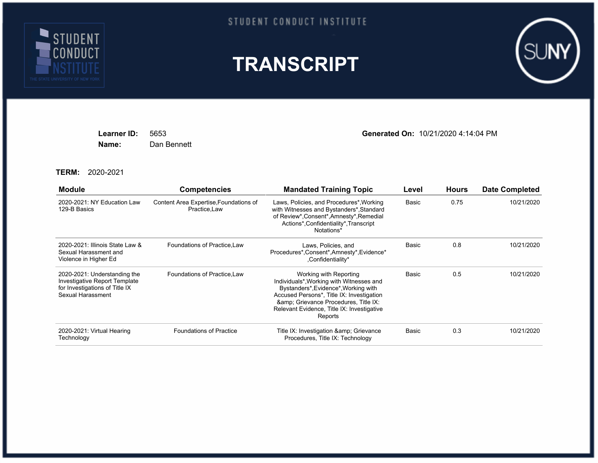

## STUDENT CONDUCT INSTITUTE





**Name:** Dan Bennett

**Learner ID:** 5653 **Generated On:** 10/21/2020 4:14:04 PM

**TERM:** 2020-2021

| <b>Module</b>                                                                                                        | <b>Competencies</b>                                    | <b>Mandated Training Topic</b>                                                                                                                                                                                                                        | Level | <b>Hours</b> | <b>Date Completed</b> |
|----------------------------------------------------------------------------------------------------------------------|--------------------------------------------------------|-------------------------------------------------------------------------------------------------------------------------------------------------------------------------------------------------------------------------------------------------------|-------|--------------|-----------------------|
| 2020-2021: NY Education Law<br>129-B Basics                                                                          | Content Area Expertise, Foundations of<br>Practice.Law | Laws, Policies, and Procedures*, Working<br>with Witnesses and Bystanders*, Standard<br>of Review*, Consent*, Amnesty*, Remedial<br>Actions*,Confidentiality*,Transcript<br>Notations*                                                                | Basic | 0.75         | 10/21/2020            |
| 2020-2021: Illinois State Law &<br>Sexual Harassment and<br>Violence in Higher Ed                                    | Foundations of Practice, Law                           | Laws, Policies, and<br>Procedures*, Consent*, Amnesty*, Evidence*<br>,Confidentiality*                                                                                                                                                                | Basic | 0.8          | 10/21/2020            |
| 2020-2021: Understanding the<br>Investigative Report Template<br>for Investigations of Title IX<br>Sexual Harassment | Foundations of Practice, Law                           | Working with Reporting<br>Individuals*, Working with Witnesses and<br>Bystanders*, Evidence*, Working with<br>Accused Persons*, Title IX: Investigation<br>& Grievance Procedures, Title IX:<br>Relevant Evidence, Title IX: Investigative<br>Reports | Basic | 0.5          | 10/21/2020            |
| 2020-2021: Virtual Hearing<br>Technology                                                                             | <b>Foundations of Practice</b>                         | Title IX: Investigation & amp; Grievance<br>Procedures, Title IX: Technology                                                                                                                                                                          | Basic | 0.3          | 10/21/2020            |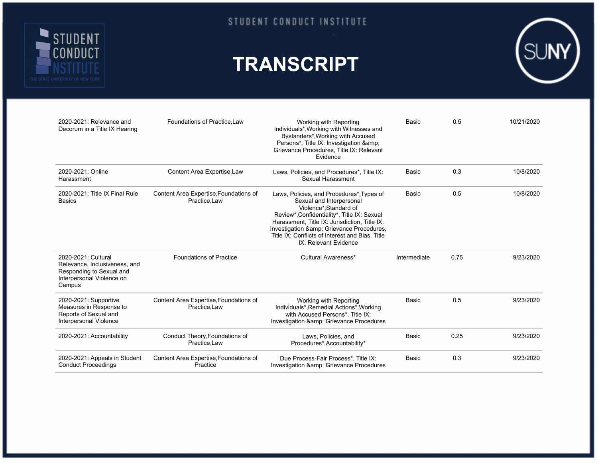

## **TRANSCRIPT**



| 2020-2021: Relevance and<br>Decorum in a Title IX Hearing                                                               | Foundations of Practice.Law                             | Working with Reporting<br>Individuals*, Working with Witnesses and<br>Bystanders*, Working with Accused<br>Persons*, Title IX: Investigation &<br>Grievance Procedures, Title IX: Relevant<br>Evidence                                                                                                               | Basic        | 0.5  | 10/21/2020 |
|-------------------------------------------------------------------------------------------------------------------------|---------------------------------------------------------|----------------------------------------------------------------------------------------------------------------------------------------------------------------------------------------------------------------------------------------------------------------------------------------------------------------------|--------------|------|------------|
| 2020-2021: Online<br>Harassment                                                                                         | Content Area Expertise, Law                             | Laws, Policies, and Procedures*, Title IX:<br>Sexual Harassment                                                                                                                                                                                                                                                      | <b>Basic</b> | 0.3  | 10/8/2020  |
| 2020-2021: Title IX Final Rule<br><b>Basics</b>                                                                         | Content Area Expertise, Foundations of<br>Practice, Law | Laws, Policies, and Procedures*, Types of<br>Sexual and Interpersonal<br>Violence*, Standard of<br>Review*, Confidentiality*, Title IX: Sexual<br>Harassment, Title IX: Jurisdiction, Title IX:<br>Investigation & Grievance Procedures,<br>Title IX: Conflicts of Interest and Bias, Title<br>IX: Relevant Evidence | Basic        | 0.5  | 10/8/2020  |
| 2020-2021: Cultural<br>Relevance, Inclusiveness, and<br>Responding to Sexual and<br>Interpersonal Violence on<br>Campus | <b>Foundations of Practice</b>                          | Cultural Awareness*                                                                                                                                                                                                                                                                                                  | Intermediate | 0.75 | 9/23/2020  |
| 2020-2021: Supportive<br>Measures in Response to<br>Reports of Sexual and<br>Interpersonal Violence                     | Content Area Expertise, Foundations of<br>Practice.Law  | Working with Reporting<br>Individuals*, Remedial Actions*, Working<br>with Accused Persons*, Title IX:<br>Investigation & Grievance Procedures                                                                                                                                                                       | <b>Basic</b> | 0.5  | 9/23/2020  |
| 2020-2021: Accountability                                                                                               | Conduct Theory, Foundations of<br>Practice, Law         | Laws, Policies, and<br>Procedures*, Accountability*                                                                                                                                                                                                                                                                  | Basic        | 0.25 | 9/23/2020  |
| 2020-2021: Appeals in Student<br><b>Conduct Proceedings</b>                                                             | Content Area Expertise, Foundations of<br>Practice      | Due Process-Fair Process*, Title IX:<br>Investigation & amp; Grievance Procedures                                                                                                                                                                                                                                    | <b>Basic</b> | 0.3  | 9/23/2020  |